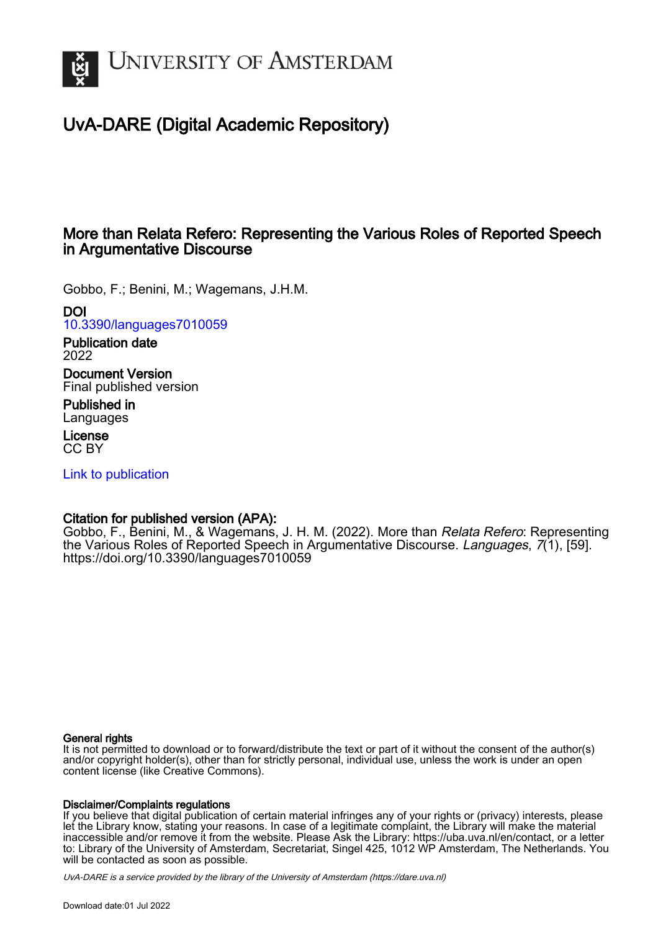

# UvA-DARE (Digital Academic Repository)

# More than Relata Refero: Representing the Various Roles of Reported Speech in Argumentative Discourse

Gobbo, F.; Benini, M.; Wagemans, J.H.M.

DOI

[10.3390/languages7010059](https://doi.org/10.3390/languages7010059)

Publication date 2022

Document Version Final published version

Published in **Languages** 

License CC BY

[Link to publication](https://dare.uva.nl/personal/pure/en/publications/more-than-relata-refero-representing-the-various-roles-of-reported-speech-in-argumentative-discourse(e23e2367-aa57-4513-8b59-62cef9ce3819).html)

## Citation for published version (APA):

Gobbo, F., Benini, M., & Wagemans, J. H. M. (2022). More than Relata Refero: Representing the Various Roles of Reported Speech in Argumentative Discourse. Languages, 7(1), [59]. <https://doi.org/10.3390/languages7010059>

### General rights

It is not permitted to download or to forward/distribute the text or part of it without the consent of the author(s) and/or copyright holder(s), other than for strictly personal, individual use, unless the work is under an open content license (like Creative Commons).

### Disclaimer/Complaints regulations

If you believe that digital publication of certain material infringes any of your rights or (privacy) interests, please let the Library know, stating your reasons. In case of a legitimate complaint, the Library will make the material inaccessible and/or remove it from the website. Please Ask the Library: https://uba.uva.nl/en/contact, or a letter to: Library of the University of Amsterdam, Secretariat, Singel 425, 1012 WP Amsterdam, The Netherlands. You will be contacted as soon as possible.

UvA-DARE is a service provided by the library of the University of Amsterdam (http*s*://dare.uva.nl)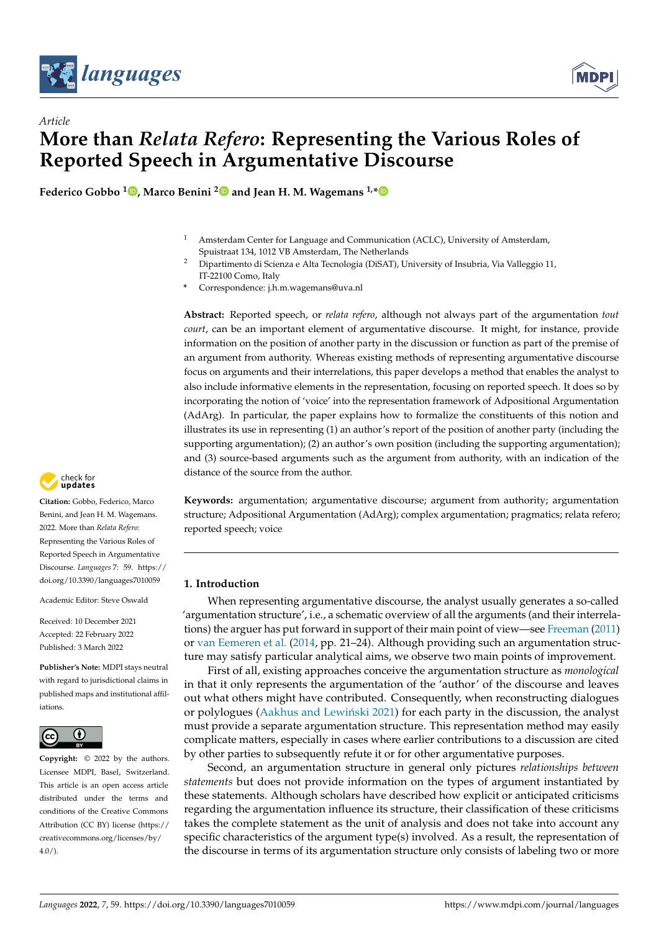



# *Article* **More than** *Relata Refero***: Representing the Various Roles of Reported Speech in Argumentative Discourse**

**Federico Gobbo <sup>1</sup> [,](https://orcid.org/0000-0003-1748-4921) Marco Benini [2](https://orcid.org/0000-0003-4680-5982) and Jean H. M. Wagemans 1,[\\*](https://orcid.org/0000-0001-9304-5766)**

- <sup>1</sup> Amsterdam Center for Language and Communication (ACLC), University of Amsterdam, Spuistraat 134, 1012 VB Amsterdam, The Netherlands
	- <sup>2</sup> Dipartimento di Scienza e Alta Tecnologia (DiSAT), University of Insubria, Via Valleggio 11, IT-22100 Como, Italy
- **\*** Correspondence: j.h.m.wagemans@uva.nl

**Abstract:** Reported speech, or *relata refero*, although not always part of the argumentation *tout court*, can be an important element of argumentative discourse. It might, for instance, provide information on the position of another party in the discussion or function as part of the premise of an argument from authority. Whereas existing methods of representing argumentative discourse focus on arguments and their interrelations, this paper develops a method that enables the analyst to also include informative elements in the representation, focusing on reported speech. It does so by incorporating the notion of 'voice' into the representation framework of Adpositional Argumentation (AdArg). In particular, the paper explains how to formalize the constituents of this notion and illustrates its use in representing (1) an author's report of the position of another party (including the supporting argumentation); (2) an author's own position (including the supporting argumentation); and (3) source-based arguments such as the argument from authority, with an indication of the distance of the source from the author.

**Keywords:** argumentation; argumentative discourse; argument from authority; argumentation structure; Adpositional Argumentation (AdArg); complex argumentation; pragmatics; relata refero; reported speech; voice

#### **1. Introduction**

When representing argumentative discourse, the analyst usually generates a so-called 'argumentation structure', i.e., a schematic overview of all the arguments (and their interrelations) the arguer has put forward in support of their main point of view—see [Freeman](#page-10-0) [\(2011\)](#page-10-0) or [van Eemeren et al.](#page-11-0) [\(2014,](#page-11-0) pp. 21–24). Although providing such an argumentation structure may satisfy particular analytical aims, we observe two main points of improvement.

First of all, existing approaches conceive the argumentation structure as *monological* in that it only represents the argumentation of the 'author' of the discourse and leaves out what others might have contributed. Consequently, when reconstructing dialogues or polylogues (Aakhus and Lewiński [2021\)](#page-10-1) for each party in the discussion, the analyst must provide a separate argumentation structure. This representation method may easily complicate matters, especially in cases where earlier contributions to a discussion are cited by other parties to subsequently refute it or for other argumentative purposes.

Second, an argumentation structure in general only pictures *relationships between statements* but does not provide information on the types of argument instantiated by these statements. Although scholars have described how explicit or anticipated criticisms regarding the argumentation influence its structure, their classification of these criticisms takes the complete statement as the unit of analysis and does not take into account any specific characteristics of the argument type(s) involved. As a result, the representation of the discourse in terms of its argumentation structure only consists of labeling two or more



**Citation:** Gobbo, Federico, Marco Benini, and Jean H. M. Wagemans. 2022. More than *Relata Refero*: Representing the Various Roles of Reported Speech in Argumentative Discourse. *Languages* 7: 59. [https://](https://doi.org/10.3390/languages7010059) [doi.org/10.3390/languages7010059](https://doi.org/10.3390/languages7010059)

Academic Editor: Steve Oswald

Received: 10 December 2021 Accepted: 22 February 2022 Published: 3 March 2022

**Publisher's Note:** MDPI stays neutral with regard to jurisdictional claims in published maps and institutional affiliations.



**Copyright:** © 2022 by the authors. Licensee MDPI, Basel, Switzerland. This article is an open access article distributed under the terms and conditions of the Creative Commons Attribution (CC BY) license [\(https://](https://creativecommons.org/licenses/by/4.0/) [creativecommons.org/licenses/by/](https://creativecommons.org/licenses/by/4.0/)  $4.0/$ ).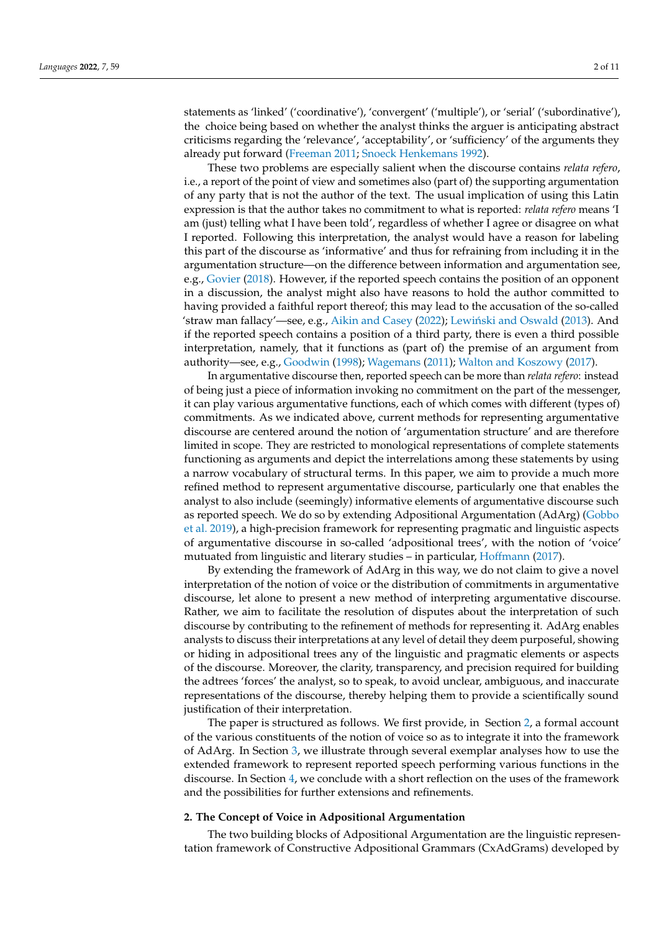statements as 'linked' ('coordinative'), 'convergent' ('multiple'), or 'serial' ('subordinative'), the choice being based on whether the analyst thinks the arguer is anticipating abstract criticisms regarding the 'relevance', 'acceptability', or 'sufficiency' of the arguments they already put forward [\(Freeman](#page-10-0) [2011;](#page-10-0) [Snoeck Henkemans](#page-11-1) [1992\)](#page-11-1).

These two problems are especially salient when the discourse contains *relata refero*, i.e., a report of the point of view and sometimes also (part of) the supporting argumentation of any party that is not the author of the text. The usual implication of using this Latin expression is that the author takes no commitment to what is reported: *relata refero* means 'I am (just) telling what I have been told', regardless of whether I agree or disagree on what I reported. Following this interpretation, the analyst would have a reason for labeling this part of the discourse as 'informative' and thus for refraining from including it in the argumentation structure—on the difference between information and argumentation see, e.g., [Govier](#page-10-2) [\(2018\)](#page-10-2). However, if the reported speech contains the position of an opponent in a discussion, the analyst might also have reasons to hold the author committed to having provided a faithful report thereof; this may lead to the accusation of the so-called 'straw man fallacy'—see, e.g., [Aikin and Casey](#page-10-3) [\(2022\)](#page-10-3); Lewiński and Oswald [\(2013\)](#page-10-4). And if the reported speech contains a position of a third party, there is even a third possible interpretation, namely, that it functions as (part of) the premise of an argument from authority—see, e.g., [Goodwin](#page-10-5) [\(1998\)](#page-10-5); [Wagemans](#page-11-2) [\(2011\)](#page-11-2); [Walton and Koszowy](#page-11-3) [\(2017\)](#page-11-3).

In argumentative discourse then, reported speech can be more than *relata refero*: instead of being just a piece of information invoking no commitment on the part of the messenger, it can play various argumentative functions, each of which comes with different (types of) commitments. As we indicated above, current methods for representing argumentative discourse are centered around the notion of 'argumentation structure' and are therefore limited in scope. They are restricted to monological representations of complete statements functioning as arguments and depict the interrelations among these statements by using a narrow vocabulary of structural terms. In this paper, we aim to provide a much more refined method to represent argumentative discourse, particularly one that enables the analyst to also include (seemingly) informative elements of argumentative discourse such as reported speech. We do so by extending Adpositional Argumentation (AdArg) [\(Gobbo](#page-10-6) [et al.](#page-10-6) [2019\)](#page-10-6), a high-precision framework for representing pragmatic and linguistic aspects of argumentative discourse in so-called 'adpositional trees', with the notion of 'voice' mutuated from linguistic and literary studies – in particular, [Hoffmann](#page-10-7) [\(2017\)](#page-10-7).

By extending the framework of AdArg in this way, we do not claim to give a novel interpretation of the notion of voice or the distribution of commitments in argumentative discourse, let alone to present a new method of interpreting argumentative discourse. Rather, we aim to facilitate the resolution of disputes about the interpretation of such discourse by contributing to the refinement of methods for representing it. AdArg enables analysts to discuss their interpretations at any level of detail they deem purposeful, showing or hiding in adpositional trees any of the linguistic and pragmatic elements or aspects of the discourse. Moreover, the clarity, transparency, and precision required for building the adtrees 'forces' the analyst, so to speak, to avoid unclear, ambiguous, and inaccurate representations of the discourse, thereby helping them to provide a scientifically sound justification of their interpretation.

The paper is structured as follows. We first provide, in Section [2,](#page-2-0) a formal account of the various constituents of the notion of voice so as to integrate it into the framework of AdArg. In Section [3,](#page-4-0) we illustrate through several exemplar analyses how to use the extended framework to represent reported speech performing various functions in the discourse. In Section [4,](#page-8-0) we conclude with a short reflection on the uses of the framework and the possibilities for further extensions and refinements.

#### <span id="page-2-0"></span>**2. The Concept of Voice in Adpositional Argumentation**

The two building blocks of Adpositional Argumentation are the linguistic representation framework of Constructive Adpositional Grammars (CxAdGrams) developed by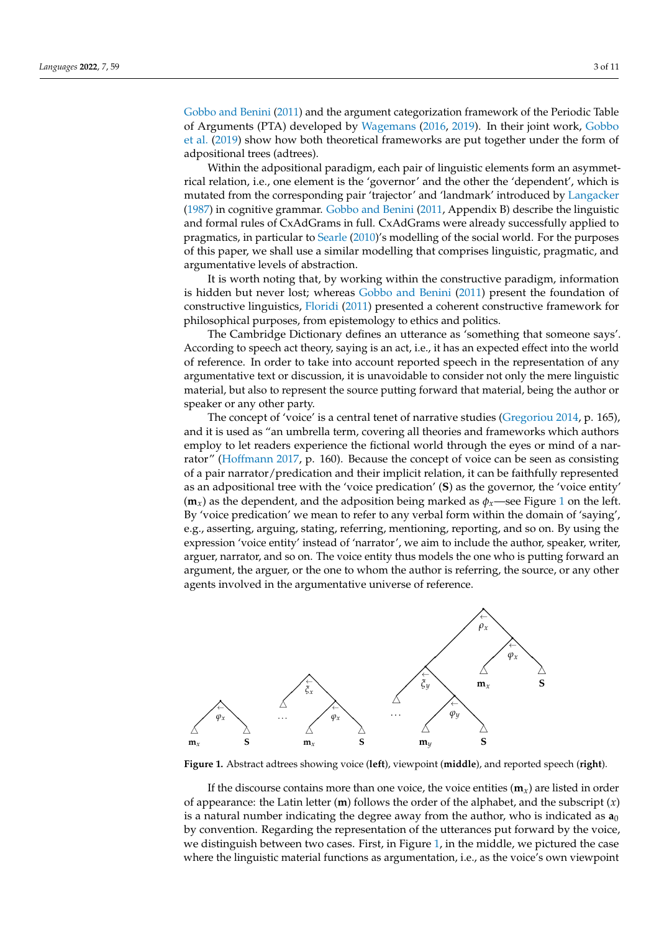[Gobbo and Benini](#page-10-8) [\(2011\)](#page-10-8) and the argument categorization framework of the Periodic Table Gobbo and Benini (2011) and the argument categorization framework of the Periodic Table of Arguments (PTA) developed by [Wagemans](#page-11-4) [\(2016,](#page-11-4) [2019\)](#page-11-5). In their joint work, [Gobbo](#page-10-6) of Arguments (PTA) developed by Wagemans (2016 2019). In their joint work, Gobbo et al. [\(2019\)](#page-10-6) show how both theoretical frameworks are put together under the form of adpositional trees (adtrees). adpositional trees (adtrees).

Within the adpositional paradigm, each pair of linguistic elements form an asymmet-Within the adpositional paradigm, each pair of linguistic elements form an asymmetrical relation, i.e., one element is the 'governor' and the other the 'dependent', which is rical relation, i.e., one element is the 'governor' and the other the 'dependent', which is mutated from the corresponding pair 'trajector' and 'landmark' introduced by [Langacker](#page-10-9) mutated from the corresponding pair 'trajector' and 'landmark' introduced by Langacker [\(1987\)](#page-10-9) in cognitive grammar. [Gobbo and Benini](#page-10-8) [\(2011,](#page-10-8) Appendix B) describe the linguistic (1987) in cognitive grammar. Gobbo and Benini (2011, Appendix B) describe the linguistic and formal rules of CxAdGrams in full. CxAdGrams were already successfully applied to and formal rules of CxAdGrams in full. CxAdGrams were already successfully applied to pragmatics, in particular to Searle [\(2010\)](#page-10-10)'s modelling of the social world. For the purposes pragmatics, in particular to Searle [\(2010\)'s](#page-10-10) modelling of the social world. For the purposes of this paper, we shall use a similar modelling that comprises linguistic, pragmatic, and of this paper, we shall use a similar modelling that comprises linguistic, pragmatic, and argumentative levels of abstraction. argumentative levels of abstraction.

It is worth noting that, by working within the constructive paradigm, information It is worth noting that, by working within the constructive paradigm, information is hidden but never lost; whereas [Gobbo and Benini](#page-10-8) [\(2011\)](#page-10-8) present the foundation of is hidden but never lost; whereas Gobbo and Benini (2011) present the foundation of constructive linguistics, [Floridi](#page-10-11) [\(2011\)](#page-10-11) presented a coherent constructive framework for philosophical purposes, from epistemology to ethics and politics. philosophical purposes, from epistemology to ethics and politics.

The Cambridge Dictionary defines an utterance as 'something that someone says'. The Cambridge Dictionary defines an utterance as 'something that someone says'. According to speech act theory, saying is an act, i.e., it has an expected effect into the world According to speech act theory, saying is an act, i.e., it has an expected effect into the world of reference. In order to take into account reported speech in the representation of any of reference. In order to take into account reported speech in the representation of any argumentative text or discussion, it is unavoidable to consider not only the mere linguistic argumentative text or discussion, it is unavoidable to consider not only the mere linguistic material, but also to represent the source putting forward that material, being the author or material, but also to represent the source putting forward that material, being the author or speaker or any other party. speaker or any other party.

The concept of 'voice' is a central tenet of narrative studies [\(Gregoriou](#page-10-12) [2014,](#page-10-12) p. 165), The concept of 'voice' is a central tenet of narrative studies (Gregoriou 2014, p. 165), and it is used as "an umbrella term, covering all theories and frameworks which authors and it is used as "an umbrella term, covering all theories and frameworks which authors employ to let readers experience the fictional world through the eyes or mind of a nar-employ to let readers experience the fictional world through the eyes or mind of a nar-rator" [\(Hoffmann](#page-10-7) [2017,](#page-10-7) p. 160). Because the concept of voice can be seen as consisting of a pair narrator/predication and their implicit relation, it can be faithfully represented of a pair narrator/predication and their implicit relation, it can be faithfully represented as an adpositional tree with the 'voice predication' (**S**) as the governor, the 'voice entity' as an adpositional tree with the 'voice predication' (**S**) as the governor, the 'voice entity'  $(\mathbf{m}_x)$  as t[he](#page-3-0) dependent, and the adposition being marked as  $\phi_x$ —see Figure 1 on the left. By 'voice predication' we mean to refer to any verbal form within the domain of 'saying', By 'voice predication' we mean to refer to any verbal form within the domain of 'saying', e.g., asserting, arguing, stating, referring, mentioning, reporting, and so on. By using the e.g., asserting, arguing, stating, referring, mentioning, reporting, and so on. By using the expression 'voice entity' instead of 'narrator', we aim to include the author, speaker, writer, expression 'voice entity' instead of 'narrator', we aim to include the author, speaker, writer, arguer, narrator, and so on. The voice entity thus models the one who is putting forward an arguer, narrator, and so on. The voice entity thus models the one who is putting forward an argument, the arguer, or the one to whom the author is referring, the source, or any other argument, the arguer, or the one to whom the author is referring, the source, or any other agents involved in the argumentative universe of reference. agents involved in the argumentative universe of reference.

<span id="page-3-0"></span>

**Figure 1.** Abstract adtrees showing voice (**left**), viewpoint (**middle**), and reported speech (**right**). **Figure 1.** Abstract adtrees showing voice (**left**), viewpoint (**middle**), and reported speech (**right**).

of appearance: the Latin letter (**m**) follows the order of the alphabet, and the subscript  $(x)$ is a natural number indicating the degree away from the author, who is indicated as  $\mathbf{a}_0$ by convention. Regarding the representation of the utterances put forward by the voice, we distinguish between two cases. First, in Figure [1,](#page-3-0) in the middle, we pictured the case where the linguistic material functions as argumentation, i.e., as the voice's own viewpoint If the discourse contains more than one voice, the voice entities  $(m_x)$  are listed in order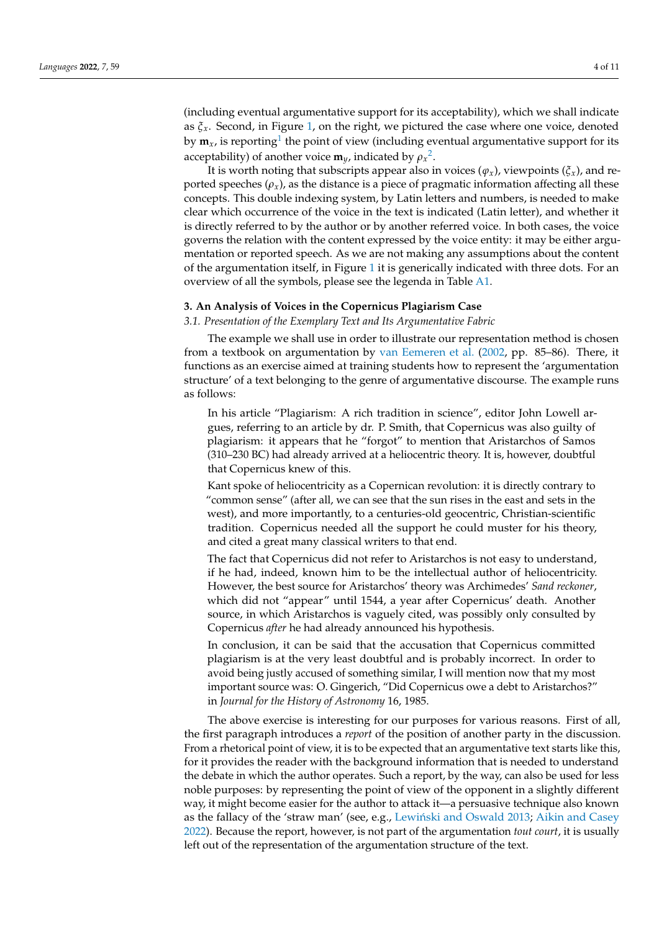<span id="page-4-1"></span>(including eventual argumentative support for its acceptability), which we shall indicate as  $\xi_x$ . Second, in Figure [1,](#page-3-0) on the right, we pictured the case where one voice, denoted by  $\mathbf{m}_{\mathsf{x}}$ , is reporting $^1$  $^1$  the point of view (including eventual argumentative support for its acceptability) of another voice  $\mathbf{m}_y$ , indicated by  $\rho_x^2$  $\rho_x^2$ .

<span id="page-4-2"></span>It is worth noting that subscripts appear also in voices  $(\varphi_x)$ , viewpoints  $(\xi_x)$ , and reported speeches  $(\rho_x)$ , as the distance is a piece of pragmatic information affecting all these concepts. This double indexing system, by Latin letters and numbers, is needed to make clear which occurrence of the voice in the text is indicated (Latin letter), and whether it is directly referred to by the author or by another referred voice. In both cases, the voice governs the relation with the content expressed by the voice entity: it may be either argumentation or reported speech. As we are not making any assumptions about the content of the argumentation itself, in Figure [1](#page-3-0) it is generically indicated with three dots. For an overview of all the symbols, please see the legenda in Table [A1.](#page-10-15)

#### <span id="page-4-0"></span>**3. An Analysis of Voices in the Copernicus Plagiarism Case**

*3.1. Presentation of the Exemplary Text and Its Argumentative Fabric*

The example we shall use in order to illustrate our representation method is chosen from a textbook on argumentation by [van Eemeren et al.](#page-11-6) [\(2002,](#page-11-6) pp. 85–86). There, it functions as an exercise aimed at training students how to represent the 'argumentation structure' of a text belonging to the genre of argumentative discourse. The example runs as follows:

In his article "Plagiarism: A rich tradition in science", editor John Lowell argues, referring to an article by dr. P. Smith, that Copernicus was also guilty of plagiarism: it appears that he "forgot" to mention that Aristarchos of Samos (310–230 BC) had already arrived at a heliocentric theory. It is, however, doubtful that Copernicus knew of this.

Kant spoke of heliocentricity as a Copernican revolution: it is directly contrary to "common sense" (after all, we can see that the sun rises in the east and sets in the west), and more importantly, to a centuries-old geocentric, Christian-scientific tradition. Copernicus needed all the support he could muster for his theory, and cited a great many classical writers to that end.

The fact that Copernicus did not refer to Aristarchos is not easy to understand, if he had, indeed, known him to be the intellectual author of heliocentricity. However, the best source for Aristarchos' theory was Archimedes' *Sand reckoner*, which did not "appear" until 1544, a year after Copernicus' death. Another source, in which Aristarchos is vaguely cited, was possibly only consulted by Copernicus *after* he had already announced his hypothesis.

In conclusion, it can be said that the accusation that Copernicus committed plagiarism is at the very least doubtful and is probably incorrect. In order to avoid being justly accused of something similar, I will mention now that my most important source was: O. Gingerich, "Did Copernicus owe a debt to Aristarchos?" in *Journal for the History of Astronomy* 16, 1985.

The above exercise is interesting for our purposes for various reasons. First of all, the first paragraph introduces a *report* of the position of another party in the discussion. From a rhetorical point of view, it is to be expected that an argumentative text starts like this, for it provides the reader with the background information that is needed to understand the debate in which the author operates. Such a report, by the way, can also be used for less noble purposes: by representing the point of view of the opponent in a slightly different way, it might become easier for the author to attack it—a persuasive technique also known as the fallacy of the 'straw man' (see, e.g., Lewiński and Oswald [2013;](#page-10-4) [Aikin and Casey](#page-10-3) [2022\)](#page-10-3). Because the report, however, is not part of the argumentation *tout court*, it is usually left out of the representation of the argumentation structure of the text.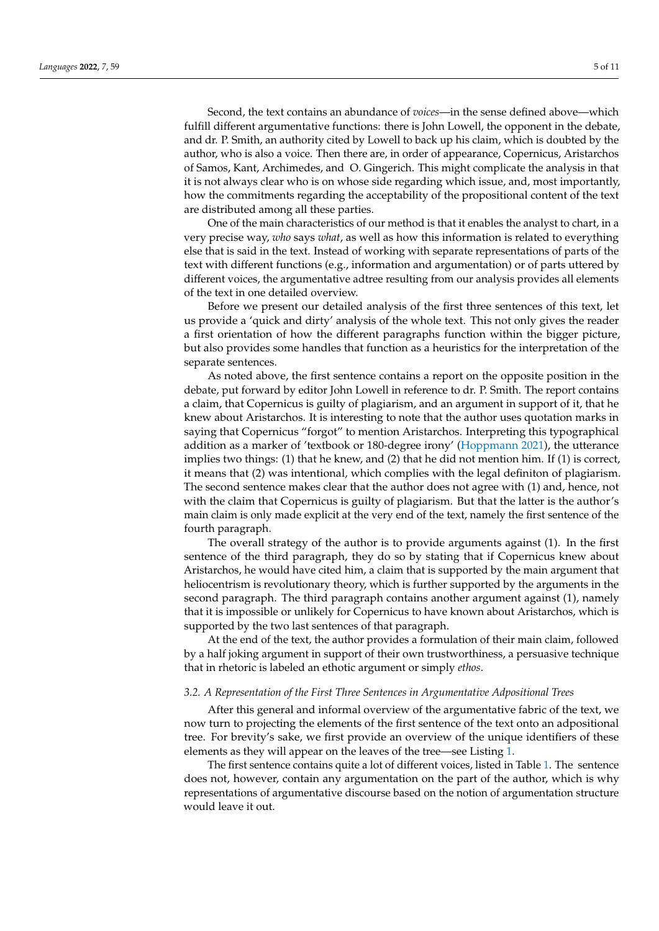Second, the text contains an abundance of *voices*—in the sense defined above—which fulfill different argumentative functions: there is John Lowell, the opponent in the debate, and dr. P. Smith, an authority cited by Lowell to back up his claim, which is doubted by the author, who is also a voice. Then there are, in order of appearance, Copernicus, Aristarchos of Samos, Kant, Archimedes, and O. Gingerich. This might complicate the analysis in that it is not always clear who is on whose side regarding which issue, and, most importantly, how the commitments regarding the acceptability of the propositional content of the text are distributed among all these parties.

One of the main characteristics of our method is that it enables the analyst to chart, in a very precise way, *who* says *what*, as well as how this information is related to everything else that is said in the text. Instead of working with separate representations of parts of the text with different functions (e.g., information and argumentation) or of parts uttered by different voices, the argumentative adtree resulting from our analysis provides all elements of the text in one detailed overview.

Before we present our detailed analysis of the first three sentences of this text, let us provide a 'quick and dirty' analysis of the whole text. This not only gives the reader a first orientation of how the different paragraphs function within the bigger picture, but also provides some handles that function as a heuristics for the interpretation of the separate sentences.

As noted above, the first sentence contains a report on the opposite position in the debate, put forward by editor John Lowell in reference to dr. P. Smith. The report contains a claim, that Copernicus is guilty of plagiarism, and an argument in support of it, that he knew about Aristarchos. It is interesting to note that the author uses quotation marks in saying that Copernicus "forgot" to mention Aristarchos. Interpreting this typographical addition as a marker of 'textbook or 180-degree irony' [\(Hoppmann](#page-10-16) [2021\)](#page-10-16), the utterance implies two things: (1) that he knew, and (2) that he did not mention him. If (1) is correct, it means that (2) was intentional, which complies with the legal definiton of plagiarism. The second sentence makes clear that the author does not agree with (1) and, hence, not with the claim that Copernicus is guilty of plagiarism. But that the latter is the author's main claim is only made explicit at the very end of the text, namely the first sentence of the fourth paragraph.

The overall strategy of the author is to provide arguments against (1). In the first sentence of the third paragraph, they do so by stating that if Copernicus knew about Aristarchos, he would have cited him, a claim that is supported by the main argument that heliocentrism is revolutionary theory, which is further supported by the arguments in the second paragraph. The third paragraph contains another argument against (1), namely that it is impossible or unlikely for Copernicus to have known about Aristarchos, which is supported by the two last sentences of that paragraph.

At the end of the text, the author provides a formulation of their main claim, followed by a half joking argument in support of their own trustworthiness, a persuasive technique that in rhetoric is labeled an ethotic argument or simply *ethos*.

#### *3.2. A Representation of the First Three Sentences in Argumentative Adpositional Trees*

After this general and informal overview of the argumentative fabric of the text, we now turn to projecting the elements of the first sentence of the text onto an adpositional tree. For brevity's sake, we first provide an overview of the unique identifiers of these elements as they will appear on the leaves of the tree—see Listing [1.](#page-6-0)

The first sentence contains quite a lot of different voices, listed in Table [1.](#page-6-1) The sentence does not, however, contain any argumentation on the part of the author, which is why representations of argumentative discourse based on the notion of argumentation structure would leave it out.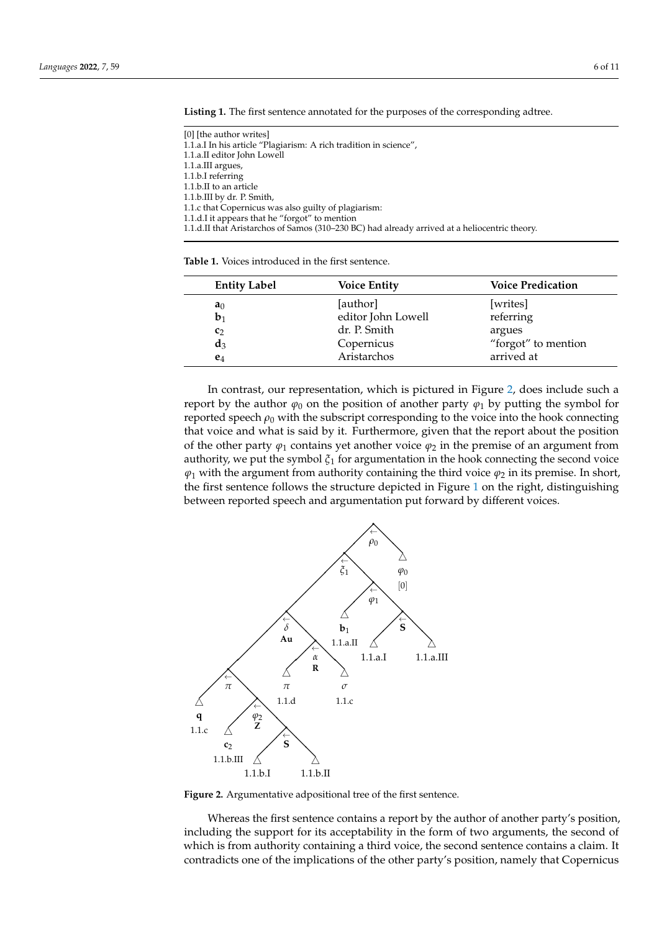| [0] [the author writes]                                                                       |
|-----------------------------------------------------------------------------------------------|
| 1.1.a.I In his article "Plagiarism: A rich tradition in science",                             |
| 1.1.a.II editor John Lowell                                                                   |
| $1.1.a.III$ argues,                                                                           |
| 1.1.b.I referring                                                                             |
| 1.1.b.II to an article                                                                        |
| 1.1.b.III by dr. P. Smith,                                                                    |
| 1.1.c that Copernicus was also guilty of plagiarism:                                          |
| 1.1.d.I it appears that he "forgot" to mention                                                |
| 1.1.d.II that Aristarchos of Samos (310–230 BC) had already arrived at a heliocentric theory. |
|                                                                                               |

<span id="page-6-0"></span>**Listing 1.** The first sentence annotated for the purposes of the corresponding adtree. **Listing 1.** The first sentence annotated for the purposes of the corresponding adtree.

**Table 1.** Voices introduced in the first sentence. **Table 1.** Voices introduced in the first sentence.

<span id="page-6-1"></span>

| <b>Entity Label</b> | <b>Voice Entity</b> | <b>Voice Predication</b> |
|---------------------|---------------------|--------------------------|
| a <sub>0</sub>      | [author]            | [writes]                 |
| $b_1$               | editor John Lowell  | referring                |
| $c_2$               | dr. P. Smith        | argues                   |
| $a_3$               | Copernicus          | "forgot" to mention      |
| $e_4$               | Aristarchos         | arrived at               |

In contrast, our representation, which is pictured in Figure 2, does include such a In contrast, our representation, which is pictured in Figure 2, does include [su](#page-6-2)ch a report by the author  $\varphi_0$  on the position of another party  $\varphi_1$  by putting the symbol for reported speech *ρ*<sup>0</sup> with the subscript corresponding to the voice into the hook connecting reported speech *ρ*<sup>0</sup> with the subscript corresponding to the voice into the hook connecting that voice and what is said by it. Furthermore, given that the report about the position that voice and what is said by it. Furthermore, given that the report about the position of the other party  $\varphi_1$  contains yet another voice  $\varphi_2$  in the premise of an argument from authority, we put the symbol *ξ*<sup>1</sup> for argumentation in the hook connecting the second voice authority, we put the symbol *ξ*<sup>1</sup> for argumentation in the hook connecting the second voice  $\varphi_1$  with the argument from authority containing the third voice  $\varphi_2$  in its premise. In short, the first sentence follows the structure depicted in Figure 1 on the right, [dist](#page-3-0)inguishing between reported speech and argumentation put forward by different voices. between reported speech and argumentation put forward by different voices.

<span id="page-6-2"></span>

**Figure 2.** Argumentative adpositional tree of the first sentence.

including the support for its acceptability in the form of two arguments, the second of which is from authority containing a third voice, the second sentence contains a claim. It contradicts one of the implications of the other party's position, namely that Copernicus Whereas the first sentence contains a report by the author of another party's position,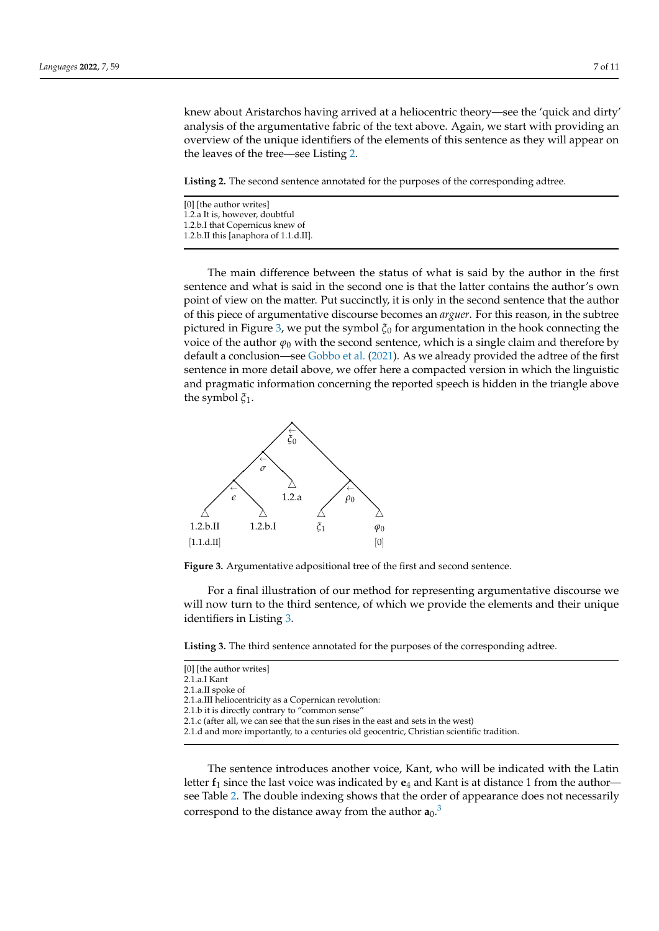knew about Aristarchos having arrived at a heliocentric theory—see the 'quick and dirty' knew about Aristarchos having arrived at a heliocentric theory—see the 'quick and dirty' analysis of the argumentative fabric of the text above. Again, we start with providing an analysis of the argumentative fabric of the text above. Again, we start with providing an overview of the unique identifiers of the elements of this sentence as they will appear on overview of the unique identifiers of the elements of this sentence as they will appear on the leaves of the tree—see Listing [2.](#page-7-0) the leaves of the tree—see Listing 2.

<span id="page-7-0"></span>**Listing 2.** The second sentence annotated for the purposes of the corresponding adtree. **Listing 2.** The second sentence annotated for the purposes of the corresponding adtree.

| [0] [the author writes]               |  |
|---------------------------------------|--|
| 1.2.a It is, however, doubtful        |  |
| 1.2.b.I that Copernicus knew of       |  |
| 1.2.b.II this [anaphora of 1.1.d.II]. |  |

The main difference between the status of what is said by the author in the first The main difference between the status of what is said by the author in the first sentence and what is said in the second one is that the latter contains the author's own sentence and what is said in the second one is that the latter contains the author's own point of view on the matter. Put succinctly, it is only in the second sentence that the author point of view on the matter. Put succinctly, it is only in the second sentence that the author of this piece of argumentative discourse becomes an *arguer*. For this reason, in the subtree of this piece of argumentative discourse becomes an *arguer*. For this reason, in the subtree pictured in Figure [3,](#page-7-1) we put the symbol *ξ*<sup>0</sup> for argumentation in the hook connecting the pictured in Figure 3, we put the symbol *ξ*<sup>0</sup> for argumentation in the hook connecting the voice of the author  $\varphi_0$  with the second sentence, which is a single claim and therefore by default a conclusion—see [Gobbo et al.](#page-10-17) [\(2021\)](#page-10-17). As we already provided the adtree of the first default a conclusion—see Gobbo et al. (2021). As we already provided the adtree of the first sentence in more detail above, we offer here a compacted version in which the linguistic sentence in more detail above, we offer here a compacted version in which the linguistic and pragmatic information concerning the reported speech is hidden in the triangle above and pragmatic information concerning the reported speech is hidden in the triangle above the symbol *ξ*1.

<span id="page-7-1"></span>

**Figure 3.** Argumentative adpositional tree of the first and second sentence. **Figure 3.** Argumentative adpositional tree of the first and second sentence.

For a final illustration of our method for representing argumentative discourse we For a final illustration of our method for representing argumentative discourse we will now turn to the third sentence, of which we provide the elements and their unique will now turn to the third sentence, of which we provide the elements and their unique identifiers in Listing [3.](#page-7-2)

<span id="page-7-2"></span>**Listing 3.** The third sentence annotated for the purposes of the corresponding adtree. **Listing 3.** The third sentence annotated for the purposes of the corresponding adtree.

| [0] [the author writes]                                                                    |
|--------------------------------------------------------------------------------------------|
|                                                                                            |
| 2.1.a.I Kant                                                                               |
| 2.1.a.II spoke of                                                                          |
| 2.1.a. III heliocentricity as a Copernican revolution:                                     |
| 2.1.b it is directly contrary to "common sense"                                            |
| 2.1.c (after all, we can see that the sun rises in the east and sets in the west)          |
| 2.1.d and more importantly, to a centuries old geocentric, Christian scientific tradition. |
|                                                                                            |
|                                                                                            |
| The sentence introduces another voice. Kant, who will be indi-                             |

<span id="page-7-3"></span>The sentence introduces another voice, Kant, who will be in letter **f**<sup>1</sup> since the last voice was indicated by **e**<sup>4</sup> and Kant is at distance 1 from the author— letter **f**<sup>1</sup> since the last voice was indicated by **e**<sup>4</sup> and Kant is at distance 1 from the author see Table 2. The double indexing [sh](#page-8-1)ows that the order of appearance does not necessarily see Table 2. The double indexing shows that the order of appearance does not necessarily correspond to the distance away from the author  $\mathbf{a}_0$ .<sup>[3](#page-10-18)</sup> dicated with the Latin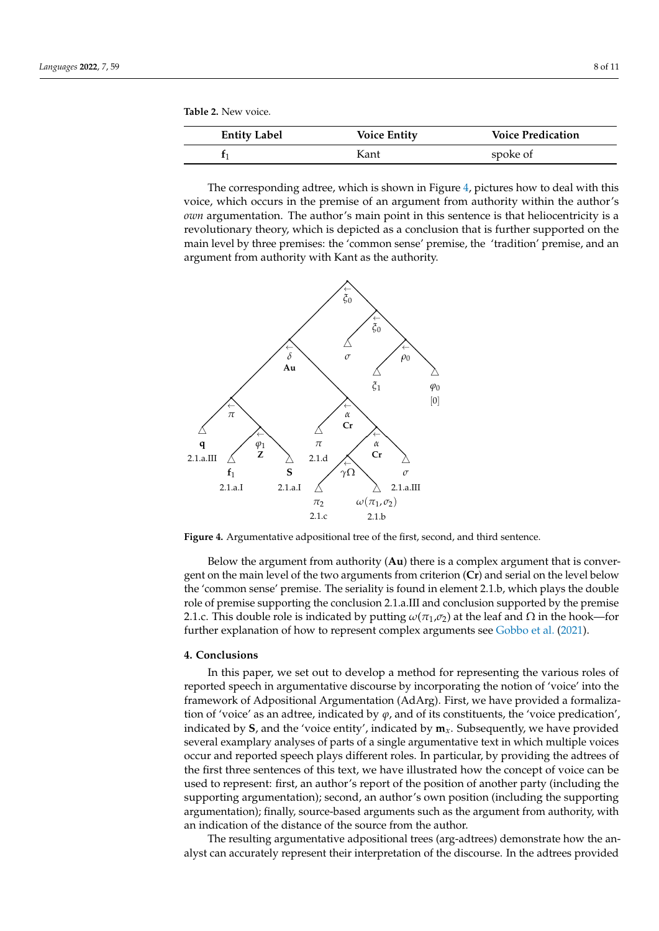<span id="page-8-1"></span>

| <b>Entity Label</b> | <b>Voice Entity</b> | <b>Voice Predication</b> |
|---------------------|---------------------|--------------------------|
|                     | Kant                | spoke of                 |

The corresponding adtree, which is shown in Figure 4, pictures how to deal with this The corresponding adtree, which is shown in Figure 4, pictures how to [d](#page-8-2)eal with this voice, which occurs in the premise of an argument from authority within the author's voice, which occurs in the premise of an argument from authority within the author's *own* argumentation. The author's main point in this sentence is that heliocentricity is a *own* argumentation. The author's main point in this sentence is that heliocentricity is a revolutionary theory, which is depicted as a conclusion that is further supported on the main level by three premises: the 'common sense' premise, the 'tradition' premise, and an main level by three premises: the 'common sense' premise, the 'tradition' premise, and an argument from authority with Kant as the authority. argument from authority with Kant as the authority.

<span id="page-8-2"></span>

**Figure 4.** Argumentative adpositional tree of the first, second, and third sentence. **Figure 4.** Argumentative adpositional tree of the first, second, and third sentence.

Below the argument from authority (**Au**) there is a complex argument that is conver-Below the argument from authority (**Au**) there is a complex argument that is convergent on the main level of the two arguments from criterion (Cr) and serial on the level below the 'common sense' premise. The seriality is found in element 2.1.b, which plays the double the 'common sense' premise. The seriality is found in element 2.1.b, which plays the double role of premise supporting the conclusion 2.1.a.III and conclusion supported by the premise 2.1.c. This double role is indicated by putting  $\omega(\pi_1,\sigma_2)$  at the leaf and  $\Omega$  in the hook—for further explanation of how to represent complex arguments see Gobbo et al. (2021). further explanation of how to represent complex arguments see [Gobbo et al.](#page-10-17) [\(2021\)](#page-10-17).

#### <span id="page-8-0"></span>**4. Conclusions**

In this paper, we set out to develop a method for representing the various roles of In this paper, we set out to develop a method for representing the various roles of reported speech in argumentative discourse by incorporating the notion of 'voice' into the reported speech in argumentative discourse by incorporating the notion of 'voice' into the framework of Adpositional Argumentation (AdArg). First, we have provided a formaliza-framework of Adpositional Argumentation (AdArg). First, we have provided a formalization of 'voice' as an adtree, indicated by *φ*, and of its constituents, the 'voice predication', indicated by **S**, and the 'voice entity', indicated by **m***x*. Subsequently, we have provided indicated by **S**, and the 'voice entity', indicated by **m***x*. Subsequently, we have provided several examplary analyses of parts of a single argumentative text in which multiple voices several examplary analyses of parts of a single argumentative text in which multiple voices occur and reported speech plays different roles. In particular, by providing the adtrees of occur and reported speech plays different roles. In particular, by providing the adtrees of the first three sentences of this text, we have illustrated how the concept of voice can be the first three sentences of this text, we have illustrated how the concept of voice can be used to represent: first, an author's report of the position of another party (including the used to represent: first, an author's report of the position of another party (including the supporting argumentation); second, an author's own position (including the supporting supporting argumentation); second, an author's own position (including the supporting argumentation); finally, source-based arguments such as the argument from authority, with argumentation); finally, source-based arguments such as the argument from authority, with an indication of the distance of the source from the author. an indication of the distance of the source from the author.

The resulting argumentative adpositional trees (arg-adtrees) demonstrate how the an-The resulting argumentative adpositional trees (arg-adtrees) demonstrate how the analyst can accurately represent their interpretation of the discourse. In the adtrees provided alyst can accurately represent their interpretation of the discourse. In the adtrees provided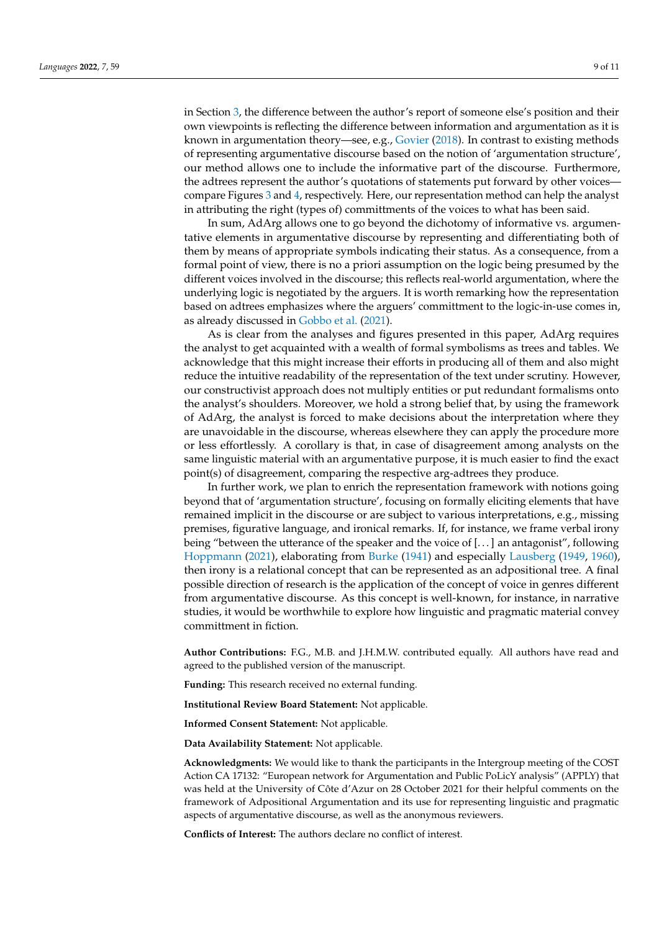in Section [3,](#page-4-0) the difference between the author's report of someone else's position and their own viewpoints is reflecting the difference between information and argumentation as it is known in argumentation theory—see, e.g., [Govier](#page-10-2) [\(2018\)](#page-10-2). In contrast to existing methods of representing argumentative discourse based on the notion of 'argumentation structure', our method allows one to include the informative part of the discourse. Furthermore, the adtrees represent the author's quotations of statements put forward by other voices compare Figures [3](#page-7-1) and [4,](#page-8-2) respectively. Here, our representation method can help the analyst in attributing the right (types of) committments of the voices to what has been said.

In sum, AdArg allows one to go beyond the dichotomy of informative vs. argumentative elements in argumentative discourse by representing and differentiating both of them by means of appropriate symbols indicating their status. As a consequence, from a formal point of view, there is no a priori assumption on the logic being presumed by the different voices involved in the discourse; this reflects real-world argumentation, where the underlying logic is negotiated by the arguers. It is worth remarking how the representation based on adtrees emphasizes where the arguers' committment to the logic-in-use comes in, as already discussed in [Gobbo et al.](#page-10-17) [\(2021\)](#page-10-17).

As is clear from the analyses and figures presented in this paper, AdArg requires the analyst to get acquainted with a wealth of formal symbolisms as trees and tables. We acknowledge that this might increase their efforts in producing all of them and also might reduce the intuitive readability of the representation of the text under scrutiny. However, our constructivist approach does not multiply entities or put redundant formalisms onto the analyst's shoulders. Moreover, we hold a strong belief that, by using the framework of AdArg, the analyst is forced to make decisions about the interpretation where they are unavoidable in the discourse, whereas elsewhere they can apply the procedure more or less effortlessly. A corollary is that, in case of disagreement among analysts on the same linguistic material with an argumentative purpose, it is much easier to find the exact point(s) of disagreement, comparing the respective arg-adtrees they produce.

In further work, we plan to enrich the representation framework with notions going beyond that of 'argumentation structure', focusing on formally eliciting elements that have remained implicit in the discourse or are subject to various interpretations, e.g., missing premises, figurative language, and ironical remarks. If, for instance, we frame verbal irony being "between the utterance of the speaker and the voice of [. . . ] an antagonist", following [Hoppmann](#page-10-16) [\(2021\)](#page-10-16), elaborating from [Burke](#page-10-19) [\(1941\)](#page-10-19) and especially [Lausberg](#page-10-20) [\(1949,](#page-10-21) [1960\)](#page-10-20), then irony is a relational concept that can be represented as an adpositional tree. A final possible direction of research is the application of the concept of voice in genres different from argumentative discourse. As this concept is well-known, for instance, in narrative studies, it would be worthwhile to explore how linguistic and pragmatic material convey committment in fiction.

**Author Contributions:** F.G., M.B. and J.H.M.W. contributed equally. All authors have read and agreed to the published version of the manuscript.

**Funding:** This research received no external funding.

**Institutional Review Board Statement:** Not applicable.

**Informed Consent Statement:** Not applicable.

**Data Availability Statement:** Not applicable.

**Acknowledgments:** We would like to thank the participants in the Intergroup meeting of the COST Action CA 17132: "European network for Argumentation and Public PoLicY analysis" (APPLY) that was held at the University of Côte d'Azur on 28 October 2021 for their helpful comments on the framework of Adpositional Argumentation and its use for representing linguistic and pragmatic aspects of argumentative discourse, as well as the anonymous reviewers.

**Conflicts of Interest:** The authors declare no conflict of interest.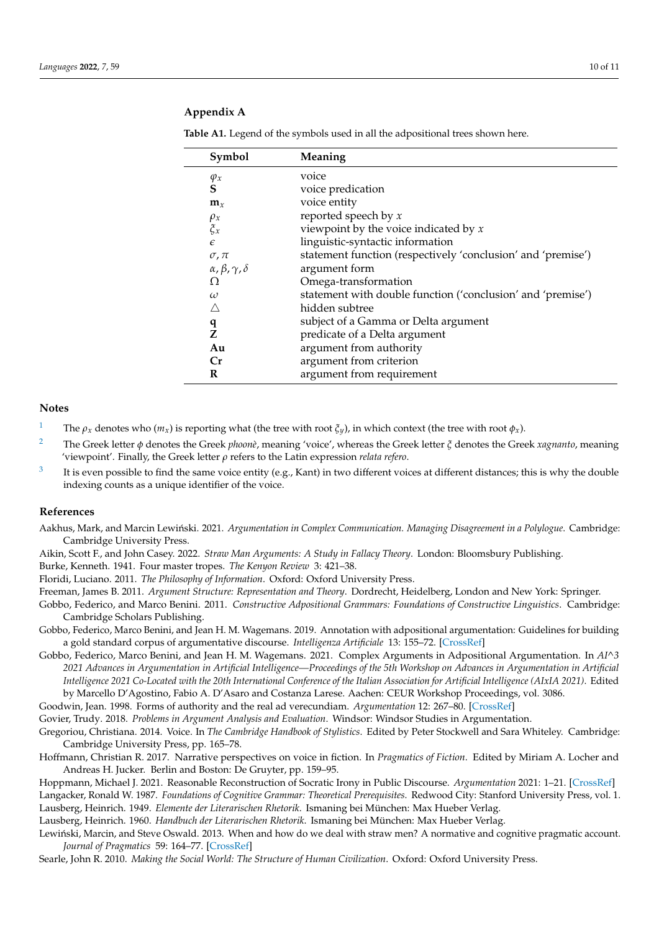## **Appendix A**

| Symbol                                   | Meaning                                                      |
|------------------------------------------|--------------------------------------------------------------|
| $\varphi_x$                              | voice                                                        |
| S                                        | voice predication                                            |
| $\mathbf{m}_x$                           | voice entity                                                 |
| $\rho_x$                                 | reported speech by $x$                                       |
| $\zeta_x$                                | viewpoint by the voice indicated by $x$                      |
| $\epsilon$                               | linguistic-syntactic information                             |
| $\sigma$ , $\pi$                         | statement function (respectively 'conclusion' and 'premise') |
| $\alpha$ , $\beta$ , $\gamma$ , $\delta$ | argument form                                                |
| Ω                                        | Omega-transformation                                         |
| $\omega$                                 | statement with double function ('conclusion' and 'premise')  |
|                                          | hidden subtree                                               |
| q                                        | subject of a Gamma or Delta argument                         |
| 7.                                       | predicate of a Delta argument                                |
| Au                                       | argument from authority                                      |
| Cr                                       | argument from criterion                                      |
| R                                        | argument from requirement                                    |

<span id="page-10-15"></span>Table A1. Legend of the symbols used in all the adpositional trees shown here.

#### **Notes**

- <span id="page-10-13"></span><sup>[1](#page-4-1)</sup> The  $\rho_x$  denotes who  $(m_x)$  is reporting what (the tree with root  $\xi_y$ ), in which context (the tree with root  $\phi_x$ ).
- <span id="page-10-14"></span>[2](#page-4-2) The Greek letter *φ* denotes the Greek *phoonè*, meaning 'voice', whereas the Greek letter *ξ* denotes the Greek *xagnanto*, meaning 'viewpoint'. Finally, the Greek letter *ρ* refers to the Latin expression *relata refero*.
- <span id="page-10-18"></span>[3](#page-7-3) It is even possible to find the same voice entity (e.g., Kant) in two different voices at different distances; this is why the double indexing counts as a unique identifier of the voice.

#### **References**

<span id="page-10-1"></span>Aakhus, Mark, and Marcin Lewiński. 2021. Argumentation in Complex Communication. Managing Disagreement in a Polylogue. Cambridge: Cambridge University Press.

<span id="page-10-3"></span>Aikin, Scott F., and John Casey. 2022. *Straw Man Arguments: A Study in Fallacy Theory*. London: Bloomsbury Publishing.

<span id="page-10-19"></span>Burke, Kenneth. 1941. Four master tropes. *The Kenyon Review* 3: 421–38.

<span id="page-10-11"></span>Floridi, Luciano. 2011. *The Philosophy of Information*. Oxford: Oxford University Press.

<span id="page-10-8"></span><span id="page-10-0"></span>Freeman, James B. 2011. *Argument Structure: Representation and Theory*. Dordrecht, Heidelberg, London and New York: Springer.

Gobbo, Federico, and Marco Benini. 2011. *Constructive Adpositional Grammars: Foundations of Constructive Linguistics*. Cambridge: Cambridge Scholars Publishing.

- <span id="page-10-6"></span>Gobbo, Federico, Marco Benini, and Jean H. M. Wagemans. 2019. Annotation with adpositional argumentation: Guidelines for building a gold standard corpus of argumentative discourse. *Intelligenza Artificiale* 13: 155–72. [\[CrossRef\]](http://doi.org/10.3233/IA-190028)
- <span id="page-10-17"></span>Gobbo, Federico, Marco Benini, and Jean H. M. Wagemans. 2021. Complex Arguments in Adpositional Argumentation. In *AI^3 2021 Advances in Argumentation in Artificial Intelligence—Proceedings of the 5th Workshop on Advances in Argumentation in Artificial Intelligence 2021 Co-Located with the 20th International Conference of the Italian Association for Artificial Intelligence (AIxIA 2021)*. Edited by Marcello D'Agostino, Fabio A. D'Asaro and Costanza Larese. Aachen: CEUR Workshop Proceedings, vol. 3086.

<span id="page-10-5"></span>Goodwin, Jean. 1998. Forms of authority and the real ad verecundiam. *Argumentation* 12: 267–80. [\[CrossRef\]](http://dx.doi.org/10.1023/A:1007756117287)

<span id="page-10-2"></span>Govier, Trudy. 2018. *Problems in Argument Analysis and Evaluation*. Windsor: Windsor Studies in Argumentation.

- <span id="page-10-12"></span>Gregoriou, Christiana. 2014. Voice. In *The Cambridge Handbook of Stylistics*. Edited by Peter Stockwell and Sara Whiteley. Cambridge: Cambridge University Press, pp. 165–78.
- <span id="page-10-7"></span>Hoffmann, Christian R. 2017. Narrative perspectives on voice in fiction. In *Pragmatics of Fiction*. Edited by Miriam A. Locher and Andreas H. Jucker. Berlin and Boston: De Gruyter, pp. 159–95.

<span id="page-10-16"></span><span id="page-10-9"></span>Hoppmann, Michael J. 2021. Reasonable Reconstruction of Socratic Irony in Public Discourse. *Argumentation* 2021: 1–21. [\[CrossRef\]](http://dx.doi.org/10.1007/s10503-021-09557-z) Langacker, Ronald W. 1987. *Foundations of Cognitive Grammar: Theoretical Prerequisites*. Redwood City: Stanford University Press, vol. 1. Lausberg, Heinrich. 1949. *Elemente der Literarischen Rhetorik*. Ismaning bei München: Max Hueber Verlag.

<span id="page-10-21"></span><span id="page-10-20"></span>Lausberg, Heinrich. 1960. *Handbuch der Literarischen Rhetorik*. Ismaning bei München: Max Hueber Verlag.

<span id="page-10-4"></span>Lewiński, Marcin, and Steve Oswald. 2013. When and how do we deal with straw men? A normative and cognitive pragmatic account. *Journal of Pragmatics* 59: 164–77. [\[CrossRef\]](http://dx.doi.org/10.1016/j.pragma.2013.05.001)

<span id="page-10-10"></span>Searle, John R. 2010. *Making the Social World: The Structure of Human Civilization*. Oxford: Oxford University Press.